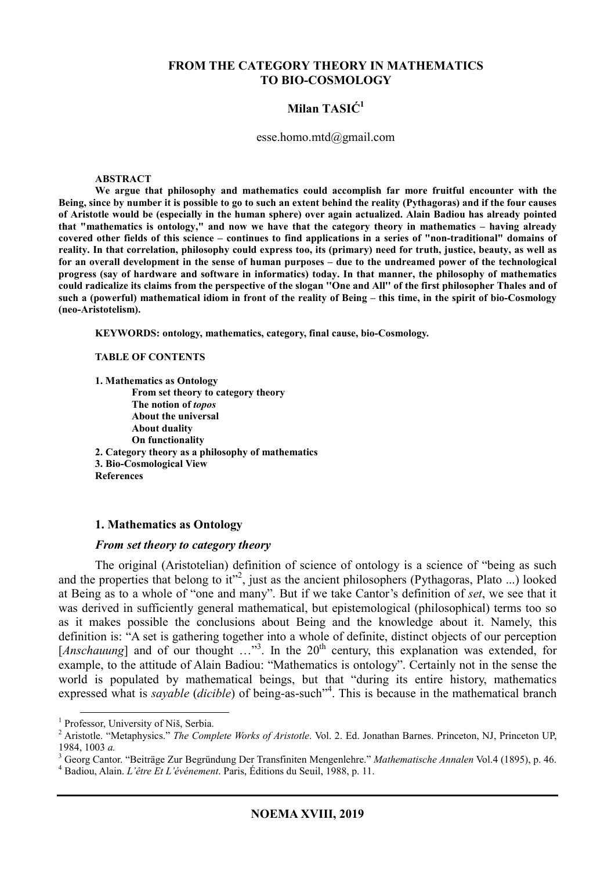#### **FROM THE CATEGORY THEORY IN MATHEMATICS TO BIO-COSMOLOGY**

# **Milan TASIĆ<sup>1</sup>**

#### esse.homo.mtd@gmail.com

#### **ABSTRACT**

**We argue that philosophy and mathematics could accomplish far more fruitful encounter with the Being, since by number it is possible to go to such an extent behind the reality (Pythagoras) and if the four causes of Aristotle would be (especially in the human sphere) over again actualized. Alain Badiou has already pointed that "mathematics is ontology," and now we have that the category theory in mathematics – having already covered other fields of this science – continues to find applications in a series of "non-traditional" domains of reality. In that correlation, philosophy could express too, its (primary) need for truth, justice, beauty, as well as for an overall development in the sense of human purposes – due to the undreamed power of the technological progress (say of hardware and software in informatics) today. In that manner, the philosophy of mathematics could radicalize its claims from the perspective of the slogan ''One and All'' of the first philosopher Thales and of such a (powerful) mathematical idiom in front of the reality of Being – this time, in the spirit of bio-Cosmology (neo-Aristotelism).** 

**KEYWORDS: ontology, mathematics, category, final cause, bio-Cosmology.** 

**TABLE OF CONTENTS** 

**1. Mathematics as Ontology From set theory to category theory The notion of** *topos*  **About the universal About duality On functionality 2. Category theory as a philosophy of mathematics 3. Bio-Cosmological View References** 

#### **1. Mathematics as Ontology**

#### *From set theory to category theory*

The original (Aristotelian) definition of science of ontology is a science of "being as such and the properties that belong to it"<sup>2</sup>, just as the ancient philosophers (Pythagoras, Plato ...) looked at Being as to a whole of "one and many". But if we take Cantor's definition of *set*, we see that it was derived in sufficiently general mathematical, but epistemological (philosophical) terms too so as it makes possible the conclusions about Being and the knowledge about it. Namely, this definition is: "A set is gathering together into a whole of definite, distinct objects of our perception [Anschauung] and of our thought ..."<sup>3</sup>. In the 20<sup>th</sup> century, this explanation was extended, for example, to the attitude of Alain Badiou: "Mathematics is ontology". Certainly not in the sense the world is populated by mathematical beings, but that "during its entire history, mathematics expressed what is *sayable* (*dicible*) of being-as-such<sup>"4</sup>. This is because in the mathematical branch

 1 Professor, University of Niš, Serbia.

<sup>2</sup> Aristotle. "Metaphysics." *The Complete Works of Aristotle*. Vol. 2. Ed. Jonathan Barnes. Princeton, NJ, Princeton UP, 1984, 1003 *a.*

<sup>3</sup> Georg Cantor. "Beiträge Zur Begründung Der Transfiniten Mengenlehre." *Mathematische Annalen* Vol.4 (1895), p. 46.

<sup>4</sup> Badiou, Alain. *L'être Et L'événement*. Paris, Éditions du Seuil, 1988, p. 11.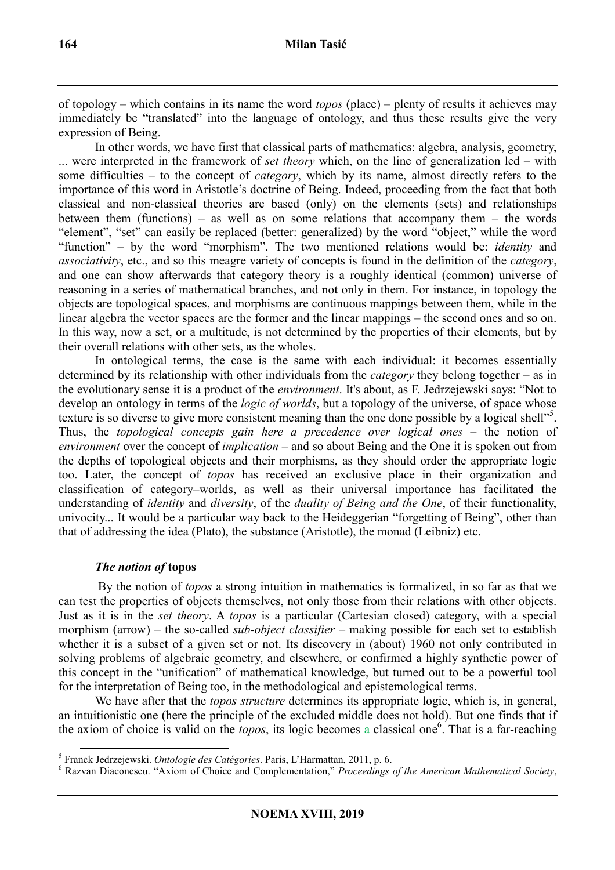of topology – which contains in its name the word *topos* (place) – plenty of results it achieves may immediately be "translated" into the language of ontology, and thus these results give the very expression of Being.

In other words, we have first that classical parts of mathematics: algebra, analysis, geometry, ... were interpreted in the framework of *set theory* which, on the line of generalization led – with some difficulties – to the concept of *category*, which by its name, almost directly refers to the importance of this word in Aristotle's doctrine of Being. Indeed, proceeding from the fact that both classical and non-classical theories are based (only) on the elements (sets) and relationships between them (functions) – as well as on some relations that accompany them – the words "element", "set" can easily be replaced (better: generalized) by the word "object," while the word "function" – by the word "morphism". The two mentioned relations would be: *identity* and *associativity*, etc., and so this meagre variety of concepts is found in the definition of the *category*, and one can show afterwards that category theory is a roughly identical (common) universe of reasoning in a series of mathematical branches, and not only in them. For instance, in topology the objects are topological spaces, and morphisms are continuous mappings between them, while in the linear algebra the vector spaces are the former and the linear mappings – the second ones and so on. In this way, now a set, or a multitude, is not determined by the properties of their elements, but by their overall relations with other sets, as the wholes.

In ontological terms, the case is the same with each individual: it becomes essentially determined by its relationship with other individuals from the *category* they belong together – as in the evolutionary sense it is a product of the *environment*. It's about, as F. Jedrzejewski says: "Not to develop an ontology in terms of the *logic of worlds*, but a topology of the universe, of space whose texture is so diverse to give more consistent meaning than the one done possible by a logical shell"<sup>5</sup>. Thus, the *topological concepts gain here a precedence over logical ones* – the notion of *environment* over the concept of *implication* – and so about Being and the One it is spoken out from the depths of topological objects and their morphisms, as they should order the appropriate logic too. Later, the concept of *topos* has received an exclusive place in their organization and classification of category–worlds, as well as their universal importance has facilitated the understanding of *identity* and *diversity*, of the *duality of Being and the One*, of their functionality, univocity... It would be a particular way back to the Heideggerian "forgetting of Being", other than that of addressing the idea (Plato), the substance (Aristotle), the monad (Leibniz) etc.

## *The notion of* **topos**

 By the notion of *topos* a strong intuition in mathematics is formalized, in so far as that we can test the properties of objects themselves, not only those from their relations with other objects. Just as it is in the *set theory*. A *topos* is a particular (Cartesian closed) category, with a special morphism (arrow) – the so-called *sub-object classifier* – making possible for each set to establish whether it is a subset of a given set or not. Its discovery in (about) 1960 not only contributed in solving problems of algebraic geometry, and elsewhere, or confirmed a highly synthetic power of this concept in the "unification" of mathematical knowledge, but turned out to be a powerful tool for the interpretation of Being too, in the methodological and epistemological terms.

We have after that the *topos structure* determines its appropriate logic, which is, in general, an intuitionistic one (here the principle of the excluded middle does not hold). But one finds that if the axiom of choice is valid on the *topos*, its logic becomes a classical one<sup>6</sup>. That is a far-reaching

 $\overline{a}$ 5 Franck Jedrzejewski. *Ontologie des Catégories*. Paris, L'Harmattan, 2011, p. 6.

<sup>6</sup> Razvan Diaconescu. "Axiom of Choice and Complementation," *Proceedings of the American Mathematical Society*,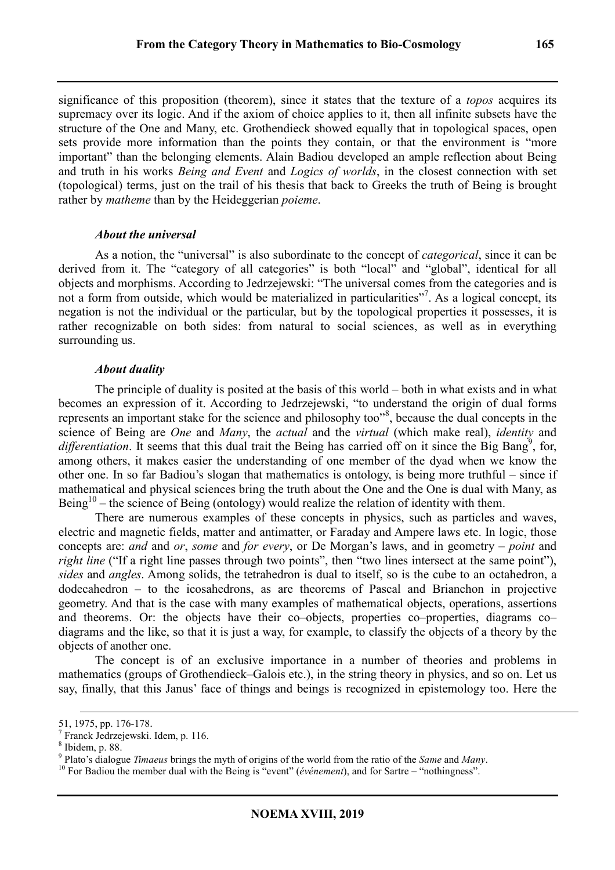significance of this proposition (theorem), since it states that the texture of a *topos* acquires its supremacy over its logic. And if the axiom of choice applies to it, then all infinite subsets have the structure of the One and Many, etc. Grothendieck showed equally that in topological spaces, open sets provide more information than the points they contain, or that the environment is "more important" than the belonging elements. Alain Badiou developed an ample reflection about Being and truth in his works *Being and Event* and *Logics of worlds*, in the closest connection with set (topological) terms, just on the trail of his thesis that back to Greeks the truth of Being is brought rather by *matheme* than by the Heideggerian *poieme*.

## *About the universal*

As a notion, the "universal" is also subordinate to the concept of *categorical*, since it can be derived from it. The "category of all categories" is both "local" and "global", identical for all objects and morphisms. According to Jedrzejewski: "The universal comes from the categories and is not a form from outside, which would be materialized in particularities"<sup>7</sup>. As a logical concept, its negation is not the individual or the particular, but by the topological properties it possesses, it is rather recognizable on both sides: from natural to social sciences, as well as in everything surrounding us.

## *About duality*

The principle of duality is posited at the basis of this world – both in what exists and in what becomes an expression of it. According to Jedrzejewski, "to understand the origin of dual forms represents an important stake for the science and philosophy too"<sup>8</sup>, because the dual concepts in the science of Being are *One* and *Many*, the *actual* and the *virtual* (which make real), *identity* and differentiation. It seems that this dual trait the Being has carried off on it since the Big Bang<sup>9</sup>, for, among others, it makes easier the understanding of one member of the dyad when we know the other one. In so far Badiou's slogan that mathematics is ontology, is being more truthful – since if mathematical and physical sciences bring the truth about the One and the One is dual with Many, as Being<sup>10</sup> – the science of Being (ontology) would realize the relation of identity with them.

There are numerous examples of these concepts in physics, such as particles and waves, electric and magnetic fields, matter and antimatter, or Faraday and Ampere laws etc. In logic, those concepts are: *and* and *or*, *some* and *for every*, or De Morgan's laws, and in geometry – *point* and *right line* ("If a right line passes through two points", then "two lines intersect at the same point"), *sides* and *angles*. Among solids, the tetrahedron is dual to itself, so is the cube to an octahedron, a dodecahedron – to the icosahedrons, as are theorems of Pascal and Brianchon in projective geometry. And that is the case with many examples of mathematical objects, operations, assertions and theorems. Or: the objects have their co–objects, properties co–properties, diagrams co– diagrams and the like, so that it is just a way, for example, to classify the objects of a theory by the objects of another one.

The concept is of an exclusive importance in a number of theories and problems in mathematics (groups of Grothendieck–Galois etc.), in the string theory in physics, and so on. Let us say, finally, that this Janus' face of things and beings is recognized in epistemology too. Here the

 $\ddot{ }$ 

<sup>51, 1975,</sup> pp. 176-178.

<sup>7</sup> Franck Jedrzejewski. Idem, p. 116.

 $8$  Ibidem, p. 88.

<sup>9</sup> Plato's dialogue *Timaeus* brings the myth of origins of the world from the ratio of the *Same* and *Many*.

<sup>&</sup>lt;sup>10</sup> For Badiou the member dual with the Being is "event" (*événement*), and for Sartre – "nothingness".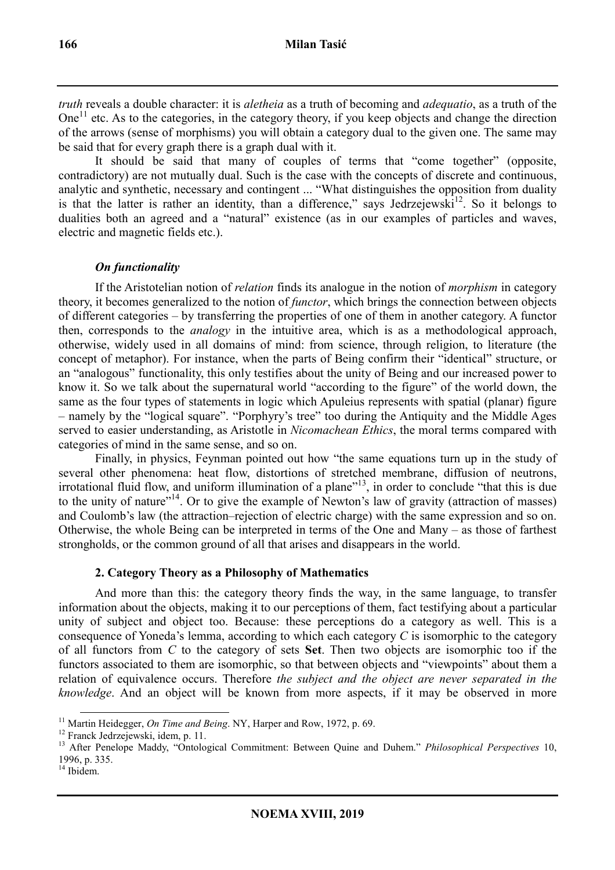*truth* reveals a double character: it is *aletheia* as a truth of becoming and *adequatio*, as a truth of the One<sup>11</sup> etc. As to the categories, in the category theory, if you keep objects and change the direction of the arrows (sense of morphisms) you will obtain a category dual to the given one. The same may be said that for every graph there is a graph dual with it.

It should be said that many of couples of terms that "come together" (opposite, contradictory) are not mutually dual. Such is the case with the concepts of discrete and continuous, analytic and synthetic, necessary and contingent ... "What distinguishes the opposition from duality is that the latter is rather an identity, than a difference," says Jedrzejewski<sup>12</sup>. So it belongs to dualities both an agreed and a "natural" existence (as in our examples of particles and waves, electric and magnetic fields etc.).

#### *On functionality*

If the Aristotelian notion of *relation* finds its analogue in the notion of *morphism* in category theory, it becomes generalized to the notion of *functor*, which brings the connection between objects of different categories – by transferring the properties of one of them in another category. A functor then, corresponds to the *analogy* in the intuitive area, which is as a methodological approach, otherwise, widely used in all domains of mind: from science, through religion, to literature (the concept of metaphor). For instance, when the parts of Being confirm their "identical" structure, or an "analogous" functionality, this only testifies about the unity of Being and our increased power to know it. So we talk about the supernatural world "according to the figure" of the world down, the same as the four types of statements in logic which Apuleius represents with spatial (planar) figure – namely by the "logical square". "Porphyry's tree" too during the Antiquity and the Middle Ages served to easier understanding, as Aristotle in *Nicomachean Ethics*, the moral terms compared with categories of mind in the same sense, and so on.

Finally, in physics, Feynman pointed out how "the same equations turn up in the study of several other phenomena: heat flow, distortions of stretched membrane, diffusion of neutrons, irrotational fluid flow, and uniform illumination of a plane"<sup>13</sup>, in order to conclude "that this is due to the unity of nature"<sup>14</sup>. Or to give the example of Newton's law of gravity (attraction of masses) and Coulomb's law (the attraction–rejection of electric charge) with the same expression and so on. Otherwise, the whole Being can be interpreted in terms of the One and Many – as those of farthest strongholds, or the common ground of all that arises and disappears in the world.

## **2. Category Theory as a Philosophy of Mathematics**

And more than this: the category theory finds the way, in the same language, to transfer information about the objects, making it to our perceptions of them, fact testifying about a particular unity of subject and object too. Because: these perceptions do a category as well. This is a consequence of Yoneda's lemma, according to which each category *C* is isomorphic to the category of all functors from *C* to the category of sets **Set**. Then two objects are isomorphic too if the functors associated to them are isomorphic, so that between objects and "viewpoints" about them a relation of equivalence occurs. Therefore *the subject and the object are never separated in the knowledge*. And an object will be known from more aspects, if it may be observed in more

 $\overline{a}$ <sup>11</sup> Martin Heidegger, *On Time and Being*. NY, Harper and Row, 1972, p. 69.

<sup>12</sup> Franck Jedrzejewski, idem, p. 11.

<sup>13</sup> After Penelope Maddy, "Ontological Commitment: Between Quine and Duhem." *Philosophical Perspectives* 10, 1996, p. 335.

<sup>&</sup>lt;sup>14</sup> Ibidem.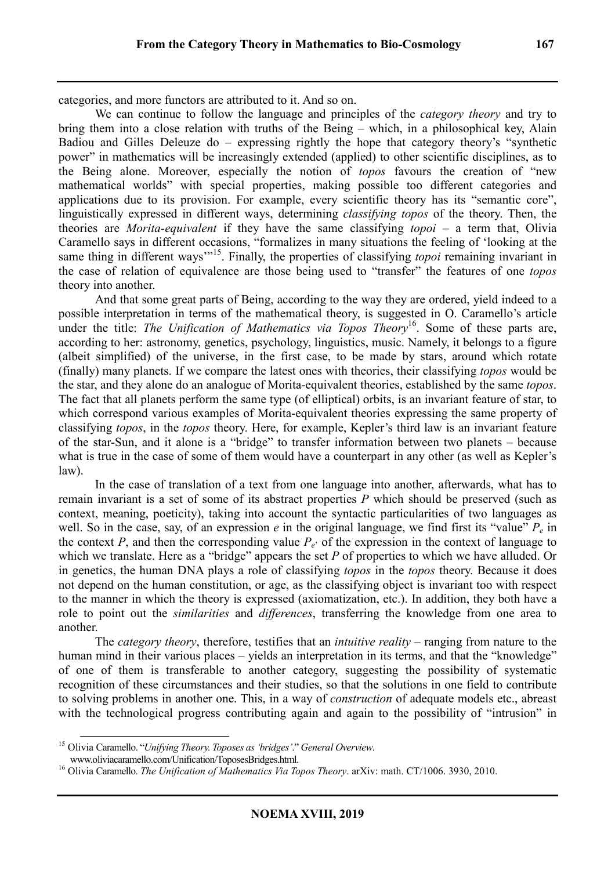categories, and more functors are attributed to it. And so on.

We can continue to follow the language and principles of the *category theory* and try to bring them into a close relation with truths of the Being – which, in a philosophical key, Alain Badiou and Gilles Deleuze do – expressing rightly the hope that category theory's "synthetic power" in mathematics will be increasingly extended (applied) to other scientific disciplines, as to the Being alone. Moreover, especially the notion of *topos* favours the creation of "new mathematical worlds" with special properties, making possible too different categories and applications due to its provision. For example, every scientific theory has its "semantic core", linguistically expressed in different ways, determining *classifying topos* of the theory. Then, the theories are *Morita-equivalent* if they have the same classifying *topoi* – a term that, Olivia Caramello says in different occasions, "formalizes in many situations the feeling of 'looking at the same thing in different ways<sup>"15</sup>. Finally, the properties of classifying *topoi* remaining invariant in the case of relation of equivalence are those being used to "transfer" the features of one *topos* theory into another.

And that some great parts of Being, according to the way they are ordered, yield indeed to a possible interpretation in terms of the mathematical theory, is suggested in O. Caramello's article under the title: *The Unification of Mathematics via Topos Theory*<sup>16</sup>. Some of these parts are, according to her: astronomy, genetics, psychology, linguistics, music. Namely, it belongs to a figure (albeit simplified) of the universe, in the first case, to be made by stars, around which rotate (finally) many planets. If we compare the latest ones with theories, their classifying *topos* would be the star, and they alone do an analogue of Morita-equivalent theories, established by the same *topos*. The fact that all planets perform the same type (of elliptical) orbits, is an invariant feature of star, to which correspond various examples of Morita-equivalent theories expressing the same property of classifying *topos*, in the *topos* theory. Here, for example, Kepler's third law is an invariant feature of the star-Sun, and it alone is a "bridge" to transfer information between two planets – because what is true in the case of some of them would have a counterpart in any other (as well as Kepler's law).

In the case of translation of a text from one language into another, afterwards, what has to remain invariant is a set of some of its abstract properties *P* which should be preserved (such as context, meaning, poeticity), taking into account the syntactic particularities of two languages as well. So in the case, say, of an expression *e* in the original language, we find first its "value" *Pe* in the context *P*, and then the corresponding value  $P_e$  of the expression in the context of language to which we translate. Here as a "bridge" appears the set *P* of properties to which we have alluded. Or in genetics, the human DNA plays a role of classifying *topos* in the *topos* theory. Because it does not depend on the human constitution, or age, as the classifying object is invariant too with respect to the manner in which the theory is expressed (axiomatization, etc.). In addition, they both have a role to point out the *similarities* and *differences*, transferring the knowledge from one area to another.

The *category theory*, therefore, testifies that an *intuitive reality* – ranging from nature to the human mind in their various places – yields an interpretation in its terms, and that the "knowledge" of one of them is transferable to another category, suggesting the possibility of systematic recognition of these circumstances and their studies, so that the solutions in one field to contribute to solving problems in another one. This, in a way of *construction* of adequate models etc., abreast with the technological progress contributing again and again to the possibility of "intrusion" in

 $\ddot{ }$ 

<sup>15</sup> Olivia Caramello. "*Unifying Theory. Toposes as 'bridges'*." *General Overview*.

www.oliviacaramello.com/Unification/ToposesBridges.html.

<sup>&</sup>lt;sup>16</sup> Olivia Caramello. *The Unification of Mathematics Via Topos Theory*. arXiv: math. CT/1006. 3930, 2010.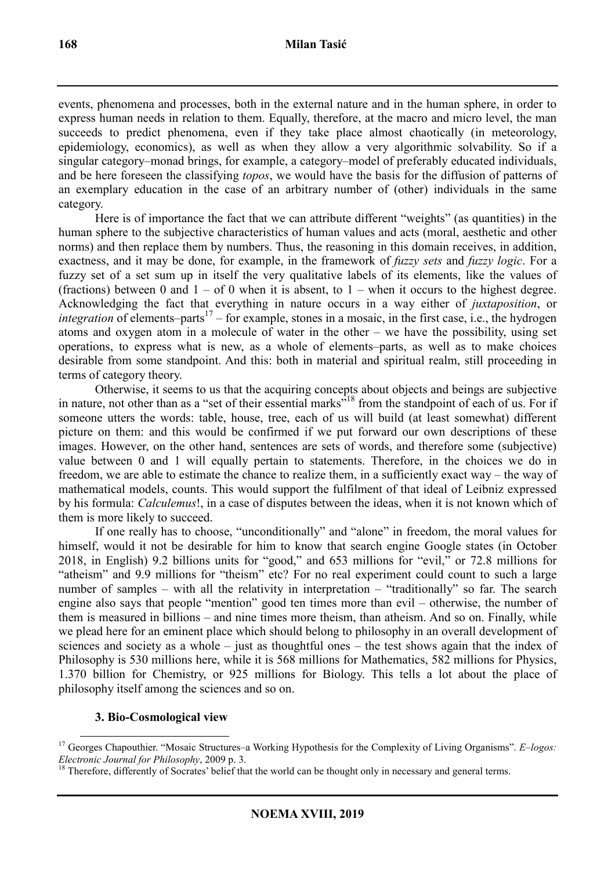events, phenomena and processes, both in the external nature and in the human sphere, in order to express human needs in relation to them. Equally, therefore, at the macro and micro level, the man succeeds to predict phenomena, even if they take place almost chaotically (in meteorology, epidemiology, economics), as well as when they allow a very algorithmic solvability. So if a singular category–monad brings, for example, a category–model of preferably educated individuals, and be here foreseen the classifying *topos*, we would have the basis for the diffusion of patterns of an exemplary education in the case of an arbitrary number of (other) individuals in the same category.

Here is of importance the fact that we can attribute different "weights" (as quantities) in the human sphere to the subjective characteristics of human values and acts (moral, aesthetic and other norms) and then replace them by numbers. Thus, the reasoning in this domain receives, in addition, exactness, and it may be done, for example, in the framework of *fuzzy sets* and *fuzzy logic*. For a fuzzy set of a set sum up in itself the very qualitative labels of its elements, like the values of (fractions) between 0 and  $1 - of 0$  when it is absent, to  $1 -$  when it occurs to the highest degree. Acknowledging the fact that everything in nature occurs in a way either of *juxtaposition*, or *integration* of elements–parts<sup>17</sup> – for example, stones in a mosaic, in the first case, i.e., the hydrogen atoms and oxygen atom in a molecule of water in the other – we have the possibility, using set operations, to express what is new, as a whole of elements–parts, as well as to make choices desirable from some standpoint. And this: both in material and spiritual realm, still proceeding in terms of category theory.

Otherwise, it seems to us that the acquiring concepts about objects and beings are subjective in nature, not other than as a "set of their essential marks"<sup>18</sup> from the standpoint of each of us. For if someone utters the words: table, house, tree, each of us will build (at least somewhat) different picture on them: and this would be confirmed if we put forward our own descriptions of these images. However, on the other hand, sentences are sets of words, and therefore some (subjective) value between 0 and 1 will equally pertain to statements. Therefore, in the choices we do in freedom, we are able to estimate the chance to realize them, in a sufficiently exact way – the way of mathematical models, counts. This would support the fulfilment of that ideal of Leibniz expressed by his formula: *Calculemus*!, in a case of disputes between the ideas, when it is not known which of them is more likely to succeed.

If one really has to choose, "unconditionally" and "alone" in freedom, the moral values for himself, would it not be desirable for him to know that search engine Google states (in October 2018, in English) 9.2 billions units for "good," and 653 millions for "evil," or 72.8 millions for "atheism" and 9.9 millions for "theism" etc? For no real experiment could count to such a large number of samples – with all the relativity in interpretation – "traditionally" so far. The search engine also says that people "mention" good ten times more than evil – otherwise, the number of them is measured in billions – and nine times more theism, than atheism. And so on. Finally, while we plead here for an eminent place which should belong to philosophy in an overall development of sciences and society as a whole – just as thoughtful ones – the test shows again that the index of Philosophy is 530 millions here, while it is 568 millions for Mathematics, 582 millions for Physics, 1.370 billion for Chemistry, or 925 millions for Biology. This tells a lot about the place of philosophy itself among the sciences and so on.

## **3. Bio-Cosmological view**

 $\ddot{ }$ <sup>17</sup> Georges Chapouthier. "Mosaic Structures–a Working Hypothesis for the Complexity of Living Organisms". *E–logos: Electronic Journal for Philosophy*, 2009 p. 3.

<sup>&</sup>lt;sup>18</sup> Therefore, differently of Socrates' belief that the world can be thought only in necessary and general terms.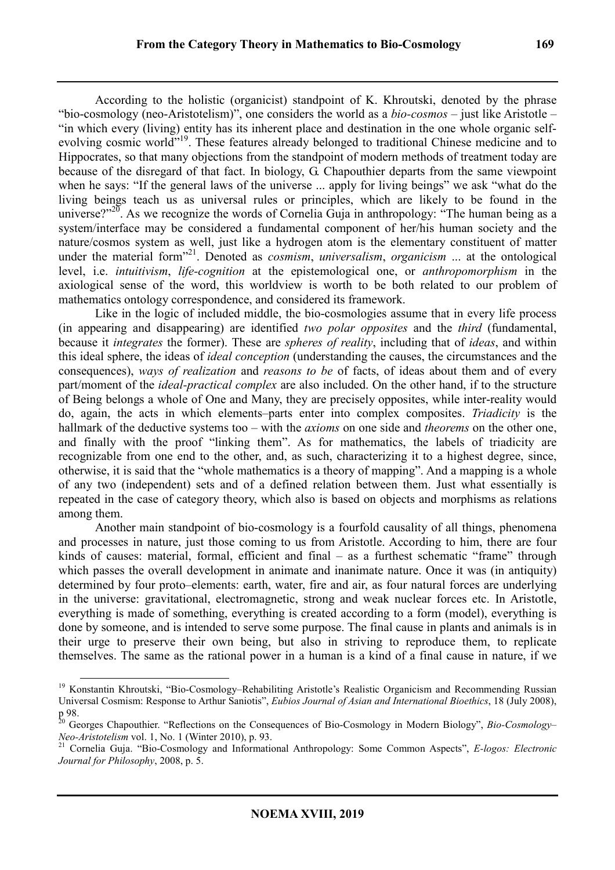According to the holistic (organicist) standpoint of K. Khroutski, denoted by the phrase "bio-cosmology (neo-Aristotelism)", one considers the world as a *bio-cosmos* – just like Aristotle – "in which every (living) entity has its inherent place and destination in the one whole organic selfevolving cosmic world"<sup>19</sup>. These features already belonged to traditional Chinese medicine and to Hippocrates, so that many objections from the standpoint of modern methods of treatment today are because of the disregard of that fact. In biology, G. Chapouthier departs from the same viewpoint when he says: "If the general laws of the universe ... apply for living beings" we ask "what do the living beings teach us as universal rules or principles, which are likely to be found in the universe?"<sup>20</sup>. As we recognize the words of Cornelia Guja in anthropology: "The human being as a system/interface may be considered a fundamental component of her/his human society and the nature/cosmos system as well, just like a hydrogen atom is the elementary constituent of matter under the material form"<sup>21</sup> . Denoted as *cosmism*, *universalism*, *organicism* ... at the ontological level, i.e. *intuitivism*, *life-cognition* at the epistemological one, or *anthropomorphism* in the axiological sense of the word, this worldview is worth to be both related to our problem of mathematics ontology correspondence, and considered its framework.

Like in the logic of included middle, the bio-cosmologies assume that in every life process (in appearing and disappearing) are identified *two polar opposites* and the *third* (fundamental, because it *integrates* the former). These are *spheres of reality*, including that of *ideas*, and within this ideal sphere, the ideas of *ideal conception* (understanding the causes, the circumstances and the consequences), *ways of realization* and *reasons to be* of facts, of ideas about them and of every part/moment of the *ideal-practical complex* are also included. On the other hand, if to the structure of Being belongs a whole of One and Many, they are precisely opposites, while inter-reality would do, again, the acts in which elements–parts enter into complex composites. *Triadicity* is the hallmark of the deductive systems too – with the *axioms* on one side and *theorems* on the other one, and finally with the proof "linking them". As for mathematics, the labels of triadicity are recognizable from one end to the other, and, as such, characterizing it to a highest degree, since, otherwise, it is said that the "whole mathematics is a theory of mapping". And a mapping is a whole of any two (independent) sets and of a defined relation between them. Just what essentially is repeated in the case of category theory, which also is based on objects and morphisms as relations among them.

Another main standpoint of bio-cosmology is a fourfold causality of all things, phenomena and processes in nature, just those coming to us from Aristotle. According to him, there are four kinds of causes: material, formal, efficient and final – as a furthest schematic "frame" through which passes the overall development in animate and inanimate nature. Once it was (in antiquity) determined by four proto–elements: earth, water, fire and air, as four natural forces are underlying in the universe: gravitational, electromagnetic, strong and weak nuclear forces etc. In Aristotle, everything is made of something, everything is created according to a form (model), everything is done by someone, and is intended to serve some purpose. The final cause in plants and animals is in their urge to preserve their own being, but also in striving to reproduce them, to replicate themselves. The same as the rational power in a human is a kind of a final cause in nature, if we

 $\overline{a}$ <sup>19</sup> Konstantin Khroutski, "Bio-Cosmology–Rehabiliting Aristotle's Realistic Organicism and Recommending Russian Universal Cosmism: Response to Arthur Saniotis", *Eubios Journal of Asian and International Bioethics*, 18 (July 2008), p 98.

<sup>&</sup>lt;sup>20</sup> Georges Chapouthier. "Reflections on the Consequences of Bio-Cosmology in Modern Biology", Bio-Cosmology-*Neo-Aristotelism* vol. 1, No. 1 (Winter 2010), p. 93.

<sup>&</sup>lt;sup>21</sup> Cornelia Guja. "Bio-Cosmology and Informational Anthropology: Some Common Aspects", *E-logos: Electronic Journal for Philosophy*, 2008, p. 5.